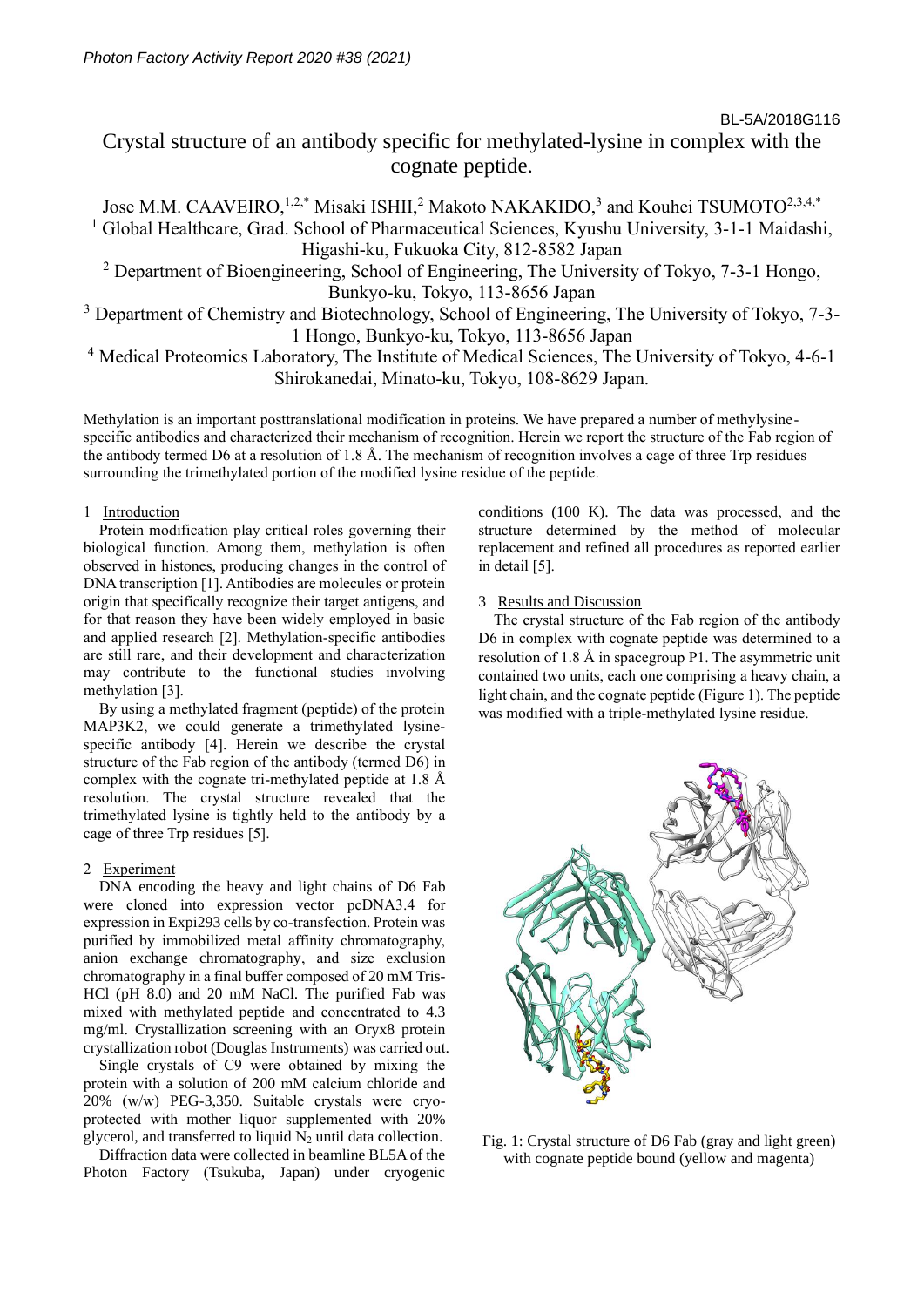Crystal structure of an antibody specific for methylated-lysine in complex with the cognate peptide.

Jose M.M. CAAVEIRO,<sup>1,2,\*</sup> Misaki ISHII,<sup>2</sup> Makoto NAKAKIDO,<sup>3</sup> and Kouhei TSUMOTO<sup>2,3,4,\*</sup> <sup>1</sup> Global Healthcare, Grad. School of Pharmaceutical Sciences, Kyushu University, 3-1-1 Maidashi, Higashi-ku, Fukuoka City, 812-8582 Japan

 $2$  Department of Bioengineering, School of Engineering, The University of Tokyo, 7-3-1 Hongo, Bunkyo-ku, Tokyo, 113-8656 Japan

<sup>3</sup> Department of Chemistry and Biotechnology, School of Engineering, The University of Tokyo, 7-3-1 Hongo, Bunkyo-ku, Tokyo, 113-8656 Japan

<sup>4</sup> Medical Proteomics Laboratory, The Institute of Medical Sciences, The University of Tokyo, 4-6-1 Shirokanedai, Minato-ku, Tokyo, 108-8629 Japan.

Methylation is an important posttranslational modification in proteins. We have prepared a number of methylysinespecific antibodies and characterized their mechanism of recognition. Herein we report the structure of the Fab region of the antibody termed D6 at a resolution of 1.8 Å. The mechanism of recognition involves a cage of three Trp residues surrounding the trimethylated portion of the modified lysine residue of the peptide.

# 1 Introduction

Protein modification play critical roles governing their biological function. Among them, methylation is often observed in histones, producing changes in the control of DNA transcription [1]. Antibodies are molecules or protein origin that specifically recognize their target antigens, and for that reason they have been widely employed in basic and applied research [2]. Methylation-specific antibodies are still rare, and their development and characterization may contribute to the functional studies involving methylation [3].

By using a methylated fragment (peptide) of the protein MAP3K2, we could generate a trimethylated lysinespecific antibody [4]. Herein we describe the crystal structure of the Fab region of the antibody (termed D6) in complex with the cognate tri-methylated peptide at 1.8 Å resolution. The crystal structure revealed that the trimethylated lysine is tightly held to the antibody by a cage of three Trp residues [5].

# 2 Experiment

DNA encoding the heavy and light chains of D6 Fab were cloned into expression vector pcDNA3.4 for expression in Expi293 cells by co-transfection. Protein was purified by immobilized metal affinity chromatography, anion exchange chromatography, and size exclusion chromatography in a final buffer composed of 20 mM Tris-HCl (pH 8.0) and 20 mM NaCl. The purified Fab was mixed with methylated peptide and concentrated to 4.3 mg/ml. Crystallization screening with an Oryx8 protein crystallization robot (Douglas Instruments) was carried out.

Single crystals of C9 were obtained by mixing the protein with a solution of 200 mM calcium chloride and 20% (w/w) PEG-3,350. Suitable crystals were cryoprotected with mother liquor supplemented with 20% glycerol, and transferred to liquid  $N_2$  until data collection.

Diffraction data were collected in beamline BL5A of the Photon Factory (Tsukuba, Japan) under cryogenic conditions (100 K). The data was processed, and the structure determined by the method of molecular replacement and refined all procedures as reported earlier in detail [5].

# 3 Results and Discussion

The crystal structure of the Fab region of the antibody D6 in complex with cognate peptide was determined to a resolution of 1.8 Å in spacegroup P1. The asymmetric unit contained two units, each one comprising a heavy chain, a light chain, and the cognate peptide (Figure 1). The peptide was modified with a triple-methylated lysine residue.



Fig. 1: Crystal structure of D6 Fab (gray and light green) with cognate peptide bound (yellow and magenta)